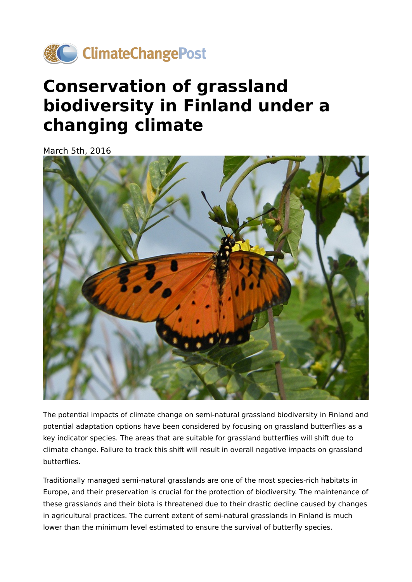

## **Conservation of grassland biodiversity in Finland under a changing climate**

March 5th, 2016



The potential impacts of climate change on semi-natural grassland biodiversity in Finland and potential adaptation options have been considered by focusing on grassland butterflies as a key indicator species. The areas that are suitable for grassland butterflies will shift due to climate change. Failure to track this shift will result in overall negative impacts on grassland butterflies.

Traditionally managed semi-natural grasslands are one of the most species-rich habitats in Europe, and their preservation is crucial for the protection of biodiversity. The maintenance of these grasslands and their biota is threatened due to their drastic decline caused by changes in agricultural practices. The current extent of semi-natural grasslands in Finland is much lower than the minimum level estimated to ensure the survival of butterfly species.